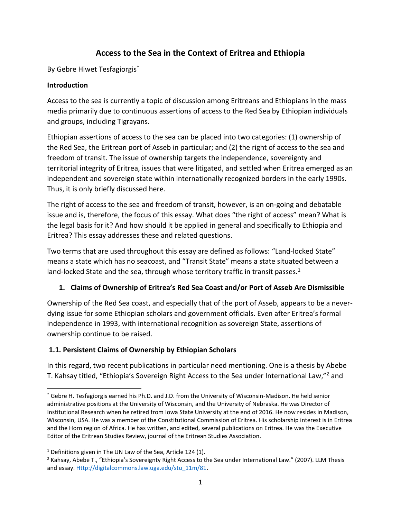# **Access to the Sea in the Context of Eritrea and Ethiopia**

By Gebre Hiwet Tesfagiorgis<sup>\*</sup>

#### **Introduction**

Access to the sea is currently a topic of discussion among Eritreans and Ethiopians in the mass media primarily due to continuous assertions of access to the Red Sea by Ethiopian individuals and groups, including Tigrayans.

Ethiopian assertions of access to the sea can be placed into two categories: (1) ownership of the Red Sea, the Eritrean port of Asseb in particular; and (2) the right of access to the sea and freedom of transit. The issue of ownership targets the independence, sovereignty and territorial integrity of Eritrea, issues that were litigated, and settled when Eritrea emerged as an independent and sovereign state within internationally recognized borders in the early 1990s. Thus, it is only briefly discussed here.

The right of access to the sea and freedom of transit, however, is an on-going and debatable issue and is, therefore, the focus of this essay. What does "the right of access" mean? What is the legal basis for it? And how should it be applied in general and specifically to Ethiopia and Eritrea? This essay addresses these and related questions.

Two terms that are used throughout this essay are defined as follows: "Land-locked State" means a state which has no seacoast, and "Transit State" means a state situated between a land-locked State and the sea, through whose territory traffic in transit passes. $1$ 

## **1. Claims of Ownership of Eritrea's Red Sea Coast and/or Port of Asseb Are Dismissible**

Ownership of the Red Sea coast, and especially that of the port of Asseb, appears to be a neverdying issue for some Ethiopian scholars and government officials. Even after Eritrea's formal independence in 1993, with international recognition as sovereign State, assertions of ownership continue to be raised.

## **1.1. Persistent Claims of Ownership by Ethiopian Scholars**

In this regard, two recent publications in particular need mentioning. One is a thesis by Abebe T. Kahsay titled, "Ethiopia's Sovereign Right Access to the Sea under International Law,"<sup>2</sup> and

<sup>\*</sup> Gebre H. Tesfagiorgis earned his Ph.D. and J.D. from the University of Wisconsin-Madison. He held senior administrative positions at the University of Wisconsin, and the University of Nebraska. He was Director of Institutional Research when he retired from Iowa State University at the end of 2016. He now resides in Madison, Wisconsin, USA. He was a member of the Constitutional Commission of Eritrea. His scholarship interest is in Eritrea and the Horn region of Africa. He has written, and edited, several publications on Eritrea. He was the Executive Editor of the Eritrean Studies Review, journal of the Eritrean Studies Association.

 $1$  Definitions given in The UN Law of the Sea, Article 124 (1).

 $2$  Kahsay, Abebe T., "Ethiopia's Sovereignty Right Access to the Sea under International Law." (2007). LLM Thesis and essay[. Http://digitalcommons.law.uga.edu/stu\\_11m/81.](http://digitalcommons.law.uga.edu/stu_11m/81)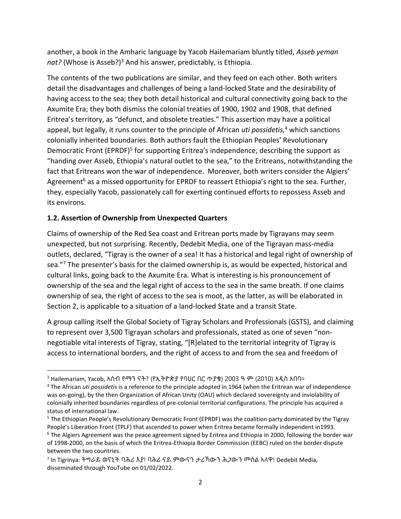another, a book in the Amharic language by Yacob Hailemariam bluntly titled, *Asseb yeman*  nat? (Whose is Asseb?)<sup>3</sup> And his answer, predictably, is Ethiopia.

The contents of the two publications are similar, and they feed on each other. Both writers detail the disadvantages and challenges of being a land-locked State and the desirability of having access to the sea; they both detail historical and cultural connectivity going back to the Axumite Era; they both dismiss the colonial treaties of 1900, 1902 and 1908, that defined Eritrea's territory, as "defunct, and obsolete treaties." This assertion may have a political appeal, but legally, it runs counter to the principle of African *uti possidetis,* <sup>4</sup> which sanctions colonially inherited boundaries. Both authors fault the Ethiopian Peoples' Revolutionary Democratic Front (EPRDF)<sup>5</sup> for supporting Eritrea's independence, describing the support as "handing over Asseb, Ethiopia's natural outlet to the sea," to the Eritreans, notwithstanding the fact that Eritreans won the war of independence. Moreover, both writers consider the Algiers' Agreement<sup>6</sup> as a missed opportunity for EPRDF to reassert Ethiopia's right to the sea. Further, they, especially Yacob, passionately call for exerting continued efforts to repossess Asseb and its environs.

### **1.2. Assertion of Ownership from Unexpected Quarters**

Claims of ownership of the Red Sea coast and Eritrean ports made by Tigrayans may seem unexpected, but not surprising. Recently, Dedebit Media, one of the Tigrayan mass-media outlets, declared, "Tigray is the owner of a sea! It has a historical and legal right of ownership of sea."<sup>7</sup> The presenter's basis for the claimed ownership is, as would be expected, historical and cultural links, going back to the Axumite Era. What is interesting is his pronouncement of ownership of the sea and the legal right of access to the sea in the same breath. If one claims ownership of sea, the right of access to the sea is moot, as the latter, as will be elaborated in Section 2, is applicable to a situation of a land-locked State and a transit State.

A group calling itself the Global Society of Tigray Scholars and Professionals (GSTS), and claiming to represent over 3,500 Tigrayan scholars and professionals, stated as one of seven "nonnegotiable vital interests of Tigray, stating, "[R]elated to the territorial integrity of Tigray is access to international borders, and the right of access to and from the sea and freedom of

<sup>3</sup> Hailemariam, Yacob, አሰብ የማን ናት? (የኢትዮጵያ የባህር በር ጥያቄ) 2003 ዓ ም (2010) አዲስ አበባ።

<sup>4</sup> The African *uti possidetis* is a reference to the principle adopted in 1964 (when the Eritrean war of independence was on-going), by the then Organization of African Unity (OAU) which declared sovereignty and inviolability of colonially inherited boundaries regardless of pre-colonial territorial configurations. The principle has acquired a status of international law.

<sup>5</sup> The Ethiopian People's Revolutionary Democratic Front (EPRDF) was the coalition party dominated by the Tigray People's Liberation Front (TPLF) that ascended to power when Eritrea became formally independent in1993. <sup>6</sup> The Algiers Agreement was the peace agreement signed by Eritrea and Ethiopia in 2000, following the border war of 1998-2000, on the basis of which the Eritrea-Ethiopia Border Commission (EEBC) ruled on the border dispute between the two countries.

<sup>&</sup>lt;sup>7</sup> In Tigrinya: ትግራይ ወናኒት ባሕሪ እያ! ባሕሪ ናይ ምውናን ታሪኻውን ሕ*ጋ*ውን መሰል ኣለዋ! Dedebit Media*,* disseminated through YouTube on 01/02/2022.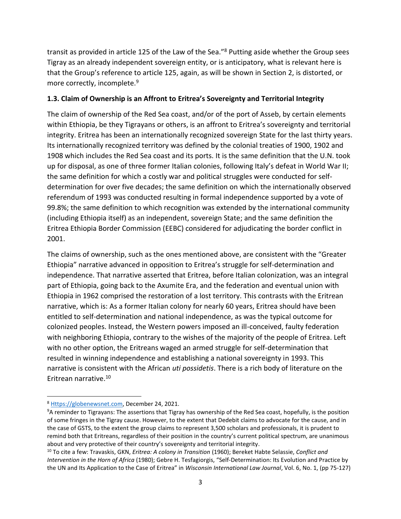transit as provided in article 125 of the Law of the Sea."<sup>8</sup> Putting aside whether the Group sees Tigray as an already independent sovereign entity, or is anticipatory, what is relevant here is that the Group's reference to article 125, again, as will be shown in Section 2, is distorted, or more correctly, incomplete.<sup>9</sup>

#### **1.3. Claim of Ownership is an Affront to Eritrea's Sovereignty and Territorial Integrity**

The claim of ownership of the Red Sea coast, and/or of the port of Asseb, by certain elements within Ethiopia, be they Tigrayans or others, is an affront to Eritrea's sovereignty and territorial integrity. Eritrea has been an internationally recognized sovereign State for the last thirty years. Its internationally recognized territory was defined by the colonial treaties of 1900, 1902 and 1908 which includes the Red Sea coast and its ports. It is the same definition that the U.N. took up for disposal, as one of three former Italian colonies, following Italy's defeat in World War II; the same definition for which a costly war and political struggles were conducted for selfdetermination for over five decades; the same definition on which the internationally observed referendum of 1993 was conducted resulting in formal independence supported by a vote of 99.8%; the same definition to which recognition was extended by the international community (including Ethiopia itself) as an independent, sovereign State; and the same definition the Eritrea Ethiopia Border Commission (EEBC) considered for adjudicating the border conflict in 2001.

The claims of ownership, such as the ones mentioned above, are consistent with the "Greater Ethiopia" narrative advanced in opposition to Eritrea's struggle for self-determination and independence. That narrative asserted that Eritrea, before Italian colonization, was an integral part of Ethiopia, going back to the Axumite Era, and the federation and eventual union with Ethiopia in 1962 comprised the restoration of a lost territory. This contrasts with the Eritrean narrative, which is: As a former Italian colony for nearly 60 years, Eritrea should have been entitled to self-determination and national independence, as was the typical outcome for colonized peoples. Instead, the Western powers imposed an ill-conceived, faulty federation with neighboring Ethiopia, contrary to the wishes of the majority of the people of Eritrea. Left with no other option, the Eritreans waged an armed struggle for self-determination that resulted in winning independence and establishing a national sovereignty in 1993. This narrative is consistent with the African *uti possidetis*. There is a rich body of literature on the Eritrean narrative. 10

<sup>8</sup> [Https://globenewsnet.com,](https://globenewsnet.com/) December 24, 2021.

<sup>9</sup>A reminder to Tigrayans: The assertions that Tigray has ownership of the Red Sea coast, hopefully, is the position of some fringes in the Tigray cause. However, to the extent that Dedebit claims to advocate for the cause, and in the case of GSTS, to the extent the group claims to represent 3,500 scholars and professionals, it is prudent to remind both that Eritreans, regardless of their position in the country's current political spectrum, are unanimous about and very protective of their country's sovereignty and territorial integrity.

<sup>10</sup> To cite a few: Travaskis, GKN, *Eritrea: A colony in Transition* (1960); Bereket Habte Selassie, *Conflict and Intervention in the Horn of Africa* (1980); Gebre H. Tesfagiorgis, "Self-Determination: Its Evolution and Practice by the UN and Its Application to the Case of Eritrea" in *Wisconsin International Law Journal*, Vol. 6, No. 1, (pp 75-127)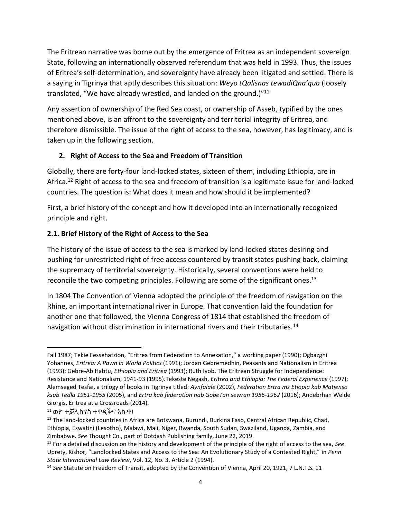The Eritrean narrative was borne out by the emergence of Eritrea as an independent sovereign State, following an internationally observed referendum that was held in 1993. Thus, the issues of Eritrea's self-determination, and sovereignty have already been litigated and settled. There is a saying in Tigrinya that aptly describes this situation: *Weyo tQalisnas tewadiQna'qua* (loosely translated, "We have already wrestled, and landed on the ground.)"<sup>11</sup>

Any assertion of ownership of the Red Sea coast, or ownership of Asseb, typified by the ones mentioned above, is an affront to the sovereignty and territorial integrity of Eritrea, and therefore dismissible. The issue of the right of access to the sea, however, has legitimacy, and is taken up in the following section.

### **2. Right of Access to the Sea and Freedom of Transition**

Globally, there are forty-four land-locked states, sixteen of them, including Ethiopia, are in Africa.<sup>12</sup> Right of access to the sea and freedom of transition is a legitimate issue for land-locked countries. The question is: What does it mean and how should it be implemented?

First, a brief history of the concept and how it developed into an internationally recognized principle and right.

## **2.1. Brief History of the Right of Access to the Sea**

The history of the issue of access to the sea is marked by land-locked states desiring and pushing for unrestricted right of free access countered by transit states pushing back, claiming the supremacy of territorial sovereignty. Historically, several conventions were held to reconcile the two competing principles. Following are some of the significant ones.<sup>13</sup>

In 1804 The Convention of Vienna adopted the principle of the freedom of navigation on the Rhine, an important international river in Europe. That convention laid the foundation for another one that followed, the Vienna Congress of 1814 that established the freedom of navigation without discrimination in international rivers and their tributaries.<sup>14</sup>

Fall 1987; Tekie Fessehatzion, "Eritrea from Federation to Annexation," a working paper (1990); Ogbazghi Yohannes, *Eritrea: A Pawn in World Politics* (1991); Jordan Gebremedhin, Peasants and Nationalism in Eritrea (1993); Gebre-Ab Habtu, *Ethiopia and Eritrea* (1993); Ruth Iyob, The Eritrean Struggle for Independence: Resistance and Nationalism, 1941-93 (1995).Tekeste Negash, *Eritrea and Ethiopia: The Federal Experience* (1997); Alemseged Tesfai, a trilogy of books in Tigrinya titled: *Aynfalale* (2002), *Federation Ertra ms Etiopia kab Matienso ksab Tedla 1951-1955* (2005), and *Ertra kab federation nab GobeTan sewran 1956-1962* (2016); Andebrhan Welde Giorgis, Eritrea at a Crossroads (2014).

<sup>11</sup> ወዮ ተቓሊስናስ ተዋዲቕና እኩዋ!

<sup>&</sup>lt;sup>12</sup> The land-locked countries in Africa are Botswana, Burundi, Burkina Faso, Central African Republic, Chad, Ethiopia, Eswatini (Lesotho), Malawi, Mali, Niger, Rwanda, South Sudan, Swaziland, Uganda, Zambia, and Zimbabwe. *See* Thought Co., part of Dotdash Publishing family, June 22, 2019.

<sup>13</sup> For a detailed discussion on the history and development of the principle of the right of access to the sea, *See* Uprety, Kishor, "Landlocked States and Access to the Sea: An Evolutionary Study of a Contested Right," in *Penn State International Law Review*, Vol. 12, No. 3, Article 2 (1994).

<sup>14</sup> *See* Statute on Freedom of Transit, adopted by the Convention of Vienna, April 20, 1921, 7 L.N.T.S. 11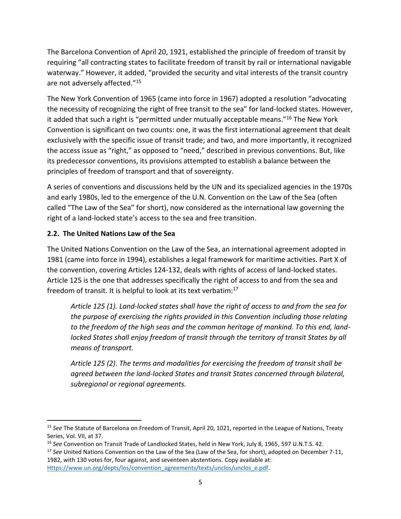The Barcelona Convention of April 20, 1921, established the principle of freedom of transit by requiring "all contracting states to facilitate freedom of transit by rail or international navigable waterway." However, it added, "provided the security and vital interests of the transit country are not adversely affected."<sup>15</sup>

The New York Convention of 1965 (came into force in 1967) adopted a resolution "advocating the necessity of recognizing the right of free transit to the sea" for land-locked states. However, it added that such a right is "permitted under mutually acceptable means."<sup>16</sup> The New York Convention is significant on two counts: one, it was the first international agreement that dealt exclusively with the specific issue of transit trade; and two, and more importantly, it recognized the access issue as "right," as opposed to "need," described in previous conventions. But, like its predecessor conventions, its provisions attempted to establish a balance between the principles of freedom of transport and that of sovereignty.

A series of conventions and discussions held by the UN and its specialized agencies in the 1970s and early 1980s, led to the emergence of the U.N. Convention on the Law of the Sea (often called "The Law of the Sea" for short), now considered as the international law governing the right of a land-locked state's access to the sea and free transition.

## **2.2. The United Nations Law of the Sea**

The United Nations Convention on the Law of the Sea, an international agreement adopted in 1981 (came into force in 1994), establishes a legal framework for maritime activities. Part X of the convention, covering Articles 124-132, deals with rights of access of land-locked states. Article 125 is the one that addresses specifically the right of access to and from the sea and freedom of transit. It is helpful to look at its text verbatim:<sup>17</sup>

*Article 125 (1). Land-locked states shall have the right of access to and from the sea for the purpose of exercising the rights provided in this Convention including those relating to the freedom of the high seas and the common heritage of mankind. To this end, landlocked States shall enjoy freedom of transit through the territory of transit States by all means of transport.*

*Article 125 (2)*. *The terms and modalities for exercising the freedom of transit shall be agreed between the land-locked States and transit States concerned through bilateral, subregional or regional agreements.*

<sup>15</sup> *See* The Statute of Barcelona on Freedom of Transit, April 20, 1021, reported in the League of Nations, Treaty Series, Vol. VII, at 37.

<sup>16</sup> *See* Convention on Transit Trade of Landlocked States, held in New York, July 8, 1965, 597 U.N.T.S. 42.

<sup>17</sup> *See* United Nations Convention on the Law of the Sea (Law of the Sea, for short), adopted on December 7-11, 1982, with 130 votes for, four against, and seventeen abstentions. Copy available at: [Https://www.un.org/depts/los/convention\\_agreements/texts/unclos/unclos\\_e.pdf.](https://www.un.org/depts/los/convention_agreements/texts/unclos/unclos_e.pdf)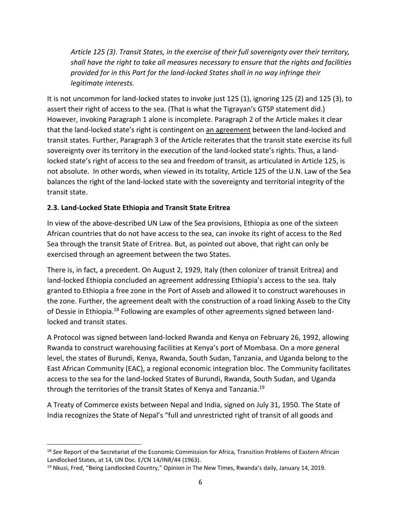*Article 125 (3)*. *Transit States, in the exercise of their full sovereignty over their territory, shall have the right to take all measures necessary to ensure that the rights and facilities provided for in this Part for the land-locked States shall in no way infringe their legitimate interests.*

It is not uncommon for land-locked states to invoke just 125 (1), ignoring 125 (2) and 125 (3), to assert their right of access to the sea. (That is what the Tigrayan's GTSP statement did.) However, invoking Paragraph 1 alone is incomplete. Paragraph 2 of the Article makes it clear that the land-locked state's right is contingent on an agreement between the land-locked and transit states. Further, Paragraph 3 of the Article reiterates that the transit state exercise its full sovereignty over its territory in the execution of the land-locked state's rights. Thus, a landlocked state's right of access to the sea and freedom of transit, as articulated in Article 125, is not absolute. In other words, when viewed in its totality, Article 125 of the U.N. Law of the Sea balances the right of the land-locked state with the sovereignty and territorial integrity of the transit state.

### **2.3. Land-Locked State Ethiopia and Transit State Eritrea**

In view of the above-described UN Law of the Sea provisions, Ethiopia as one of the sixteen African countries that do not have access to the sea, can invoke its right of access to the Red Sea through the transit State of Eritrea. But, as pointed out above, that right can only be exercised through an agreement between the two States.

There is, in fact, a precedent. On August 2, 1929, Italy (then colonizer of transit Eritrea) and land-locked Ethiopia concluded an agreement addressing Ethiopia's access to the sea. Italy granted to Ethiopia a free zone in the Port of Asseb and allowed it to construct warehouses in the zone. Further, the agreement dealt with the construction of a road linking Asseb to the City of Dessie in Ethiopia.<sup>18</sup> Following are examples of other agreements signed between landlocked and transit states.

A Protocol was signed between land-locked Rwanda and Kenya on February 26, 1992, allowing Rwanda to construct warehousing facilities at Kenya's port of Mombasa. On a more general level, the states of Burundi, Kenya, Rwanda, South Sudan, Tanzania, and Uganda belong to the East African Community (EAC), a regional economic integration bloc. The Community facilitates access to the sea for the land-locked States of Burundi, Rwanda, South Sudan, and Uganda through the territories of the transit States of Kenya and Tanzania.<sup>19</sup>

A Treaty of Commerce exists between Nepal and India, signed on July 31, 1950. The State of India recognizes the State of Nepal's "full and unrestricted right of transit of all goods and

<sup>18</sup> *See* Report of the Secretariat of the Economic Commission for Africa, Transition Problems of Eastern African Landlocked States, at 14, UN Doc. E/CN 14/INR/44 (1963).

<sup>&</sup>lt;sup>19</sup> Nkusi, Fred, "Being Landlocked Country," Opinion in The New Times, Rwanda's daily, January 14, 2019.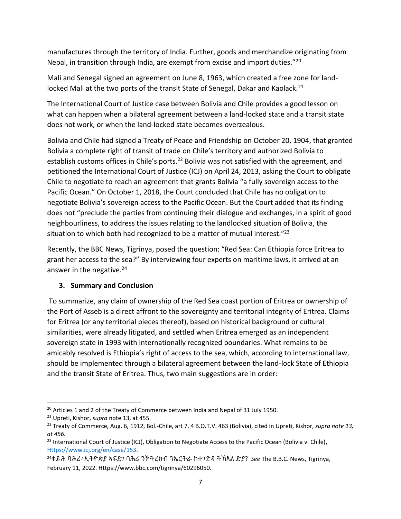manufactures through the territory of India. Further, goods and merchandize originating from Nepal, in transition through India, are exempt from excise and import duties."<sup>20</sup>

Mali and Senegal signed an agreement on June 8, 1963, which created a free zone for landlocked Mali at the two ports of the transit State of Senegal, Dakar and Kaolack.<sup>21</sup>

The International Court of Justice case between Bolivia and Chile provides a good lesson on what can happen when a bilateral agreement between a land-locked state and a transit state does not work, or when the land-locked state becomes overzealous.

Bolivia and Chile had signed a Treaty of Peace and Friendship on October 20, 1904, that granted Bolivia a complete right of transit of trade on Chile's territory and authorized Bolivia to establish customs offices in Chile's ports.<sup>22</sup> Bolivia was not satisfied with the agreement, and petitioned the International Court of Justice (ICJ) on April 24, 2013, asking the Court to obligate Chile to negotiate to reach an agreement that grants Bolivia "a fully sovereign access to the Pacific Ocean." On October 1, 2018, the Court concluded that Chile has no obligation to negotiate Bolivia's sovereign access to the Pacific Ocean. But the Court added that its finding does not "preclude the parties from continuing their dialogue and exchanges, in a spirit of good neighbourliness, to address the issues relating to the landlocked situation of Bolivia, the situation to which both had recognized to be a matter of mutual interest."<sup>23</sup>

Recently, the BBC News, Tigrinya, posed the question: "Red Sea: Can Ethiopia force Eritrea to grant her access to the sea?" By interviewing four experts on maritime laws, it arrived at an answer in the negative.<sup>24</sup>

## **3. Summary and Conclusion**

To summarize, any claim of ownership of the Red Sea coast portion of Eritrea or ownership of the Port of Asseb is a direct affront to the sovereignty and territorial integrity of Eritrea. Claims for Eritrea (or any territorial pieces thereof), based on historical background or cultural similarities, were already litigated, and settled when Eritrea emerged as an independent sovereign state in 1993 with internationally recognized boundaries. What remains to be amicably resolved is Ethiopia's right of access to the sea, which, according to international law, should be implemented through a bilateral agreement between the land-lock State of Ethiopia and the transit State of Eritrea. Thus, two main suggestions are in order:

<sup>&</sup>lt;sup>20</sup> Articles 1 and 2 of the Treaty of Commerce between India and Nepal of 31 July 1950.

<sup>21</sup> Upreti, Kishor, *supra* note 13, at 455.

<sup>22</sup> Treaty of Commerce, Aug. 6, 1912, Bol.-Chile, art 7, 4 B.O.T.V. 463 (Bolivia), cited in Upreti, Kishor, *supra note 13, at 456.*

<sup>&</sup>lt;sup>23</sup> International Court of Justice (ICJ), Obligation to Negotiate Access to the Pacific Ocean (Bolivia v. Chile), [Https://www.icj.org/en/case/153.](https://www.icj.org/en/case/153) 

<sup>24</sup>ቀይሕ ባሕሪ፡ ኢትዮጵያ ኣፍደገ ባሕሪ ንኽትረክብ ንኤርትራ ከተገድዳ ትኽእል ድያ? *See* The B.B.C. News, Tigrinya, February 11, 2022. Https://www.bbc.com/tigrinya/60296050.